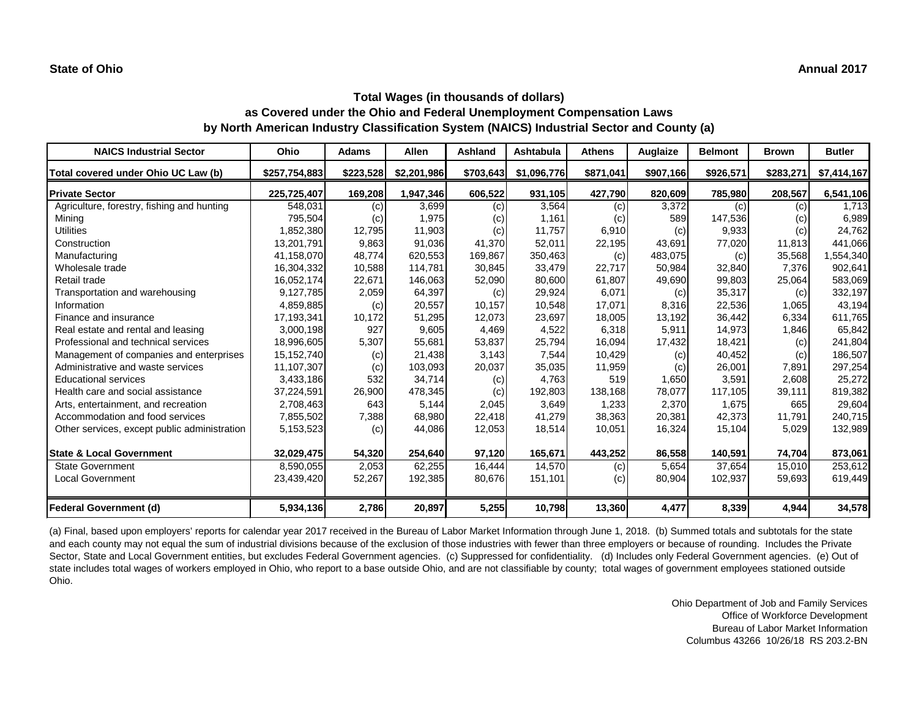#### **State of Ohio Annual 2017**

# **Total Wages (in thousands of dollars) as Covered under the Ohio and Federal Unemployment Compensation Laws by North American Industry Classification System (NAICS) Industrial Sector and County (a)**

| <b>NAICS Industrial Sector</b>               | Ohio          | <b>Adams</b> | <b>Allen</b> | <b>Ashland</b> | Ashtabula   | <b>Athens</b> | Auglaize  | <b>Belmont</b> | <b>Brown</b> | <b>Butler</b> |
|----------------------------------------------|---------------|--------------|--------------|----------------|-------------|---------------|-----------|----------------|--------------|---------------|
| Total covered under Ohio UC Law (b)          | \$257,754,883 | \$223,528    | \$2,201,986  | \$703,643      | \$1,096,776 | \$871,041     | \$907,166 | \$926,571      | \$283,271    | \$7,414,167   |
| <b>Private Sector</b>                        | 225,725,407   | 169,208      | 1,947,346    | 606,522        | 931,105     | 427,790       | 820,609   | 785,980        | 208,567      | 6,541,106     |
| Agriculture, forestry, fishing and hunting   | 548,031       | (c)          | 3,699        | (c)            | 3,564       | (c)           | 3,372     | (c)            | (c)          | 1,713         |
| Mining                                       | 795,504       | (c)          | 1,975        | (c)            | 1,161       | (c)           | 589       | 147,536        | (c)          | 6,989         |
| <b>Utilities</b>                             | 1,852,380     | 12,795       | 11,903       | (c)            | 11,757      | 6,910         | (c)       | 9,933          | (c)          | 24,762        |
| Construction                                 | 13,201,791    | 9,863        | 91,036       | 41,370         | 52,011      | 22,195        | 43,691    | 77,020         | 11,813       | 441,066       |
| Manufacturing                                | 41,158,070    | 48,774       | 620,553      | 169,867        | 350,463     | (c)           | 483,075   | (c)            | 35,568       | 1,554,340     |
| Wholesale trade                              | 16,304,332    | 10,588       | 114,781      | 30,845         | 33,479      | 22,717        | 50,984    | 32,840         | 7,376        | 902,641       |
| Retail trade                                 | 16,052,174    | 22,671       | 146,063      | 52,090         | 80,600      | 61,807        | 49,690    | 99,803         | 25,064       | 583,069       |
| Transportation and warehousing               | 9,127,785     | 2,059        | 64,397       | (c)            | 29,924      | 6,071         | (c)       | 35,317         | (c)          | 332,197       |
| Information                                  | 4,859,885     | (c)          | 20,557       | 10,157         | 10,548      | 17,071        | 8,316     | 22,536         | 1,065        | 43,194        |
| Finance and insurance                        | 17,193,341    | 10,172       | 51,295       | 12,073         | 23,697      | 18,005        | 13,192    | 36,442         | 6,334        | 611,765       |
| Real estate and rental and leasing           | 3,000,198     | 927          | 9,605        | 4,469          | 4,522       | 6,318         | 5,911     | 14,973         | 1,846        | 65,842        |
| Professional and technical services          | 18,996,605    | 5,307        | 55,681       | 53,837         | 25,794      | 16,094        | 17,432    | 18,421         | (c)          | 241,804       |
| Management of companies and enterprises      | 15, 152, 740  | (c)          | 21,438       | 3,143          | 7,544       | 10,429        | (c)       | 40,452         | (c)          | 186,507       |
| Administrative and waste services            | 11,107,307    | (c)          | 103,093      | 20,037         | 35,035      | 11,959        | (c)       | 26,001         | 7,891        | 297,254       |
| <b>Educational services</b>                  | 3,433,186     | 532          | 34,714       | (c)            | 4,763       | 519           | 1,650     | 3,591          | 2,608        | 25,272        |
| Health care and social assistance            | 37,224,591    | 26,900       | 478,345      | (c)            | 192,803     | 138,168       | 78,077    | 117,105        | 39,111       | 819,382       |
| Arts, entertainment, and recreation          | 2,708,463     | 643          | 5,144        | 2,045          | 3,649       | 1,233         | 2,370     | 1,675          | 665          | 29,604        |
| Accommodation and food services              | 7,855,502     | 7,388        | 68,980       | 22,418         | 41,279      | 38,363        | 20,381    | 42,373         | 11,791       | 240,715       |
| Other services, except public administration | 5,153,523     | (c)          | 44,086       | 12,053         | 18,514      | 10,051        | 16,324    | 15,104         | 5,029        | 132,989       |
| <b>State &amp; Local Government</b>          | 32,029,475    | 54,320       | 254,640      | 97,120         | 165,671     | 443,252       | 86,558    | 140,591        | 74,704       | 873,061       |
| <b>State Government</b>                      | 8,590,055     | 2,053        | 62,255       | 16,444         | 14,570      | (c)           | 5,654     | 37,654         | 15,010       | 253,612       |
| <b>Local Government</b>                      | 23,439,420    | 52,267       | 192,385      | 80,676         | 151,101     | (c)           | 80,904    | 102,937        | 59,693       | 619,449       |
| <b>Federal Government (d)</b>                | 5,934,136     | 2,786        | 20,897       | 5,255          | 10,798      | 13,360        | 4,477     | 8,339          | 4,944        | 34,578        |

(a) Final, based upon employers' reports for calendar year 2017 received in the Bureau of Labor Market Information through June 1, 2018. (b) Summed totals and subtotals for the state and each county may not equal the sum of industrial divisions because of the exclusion of those industries with fewer than three employers or because of rounding. Includes the Private Sector, State and Local Government entities, but excludes Federal Government agencies. (c) Suppressed for confidentiality. (d) Includes only Federal Government agencies. (e) Out of state includes total wages of workers employed in Ohio, who report to a base outside Ohio, and are not classifiable by county; total wages of government employees stationed outside Ohio.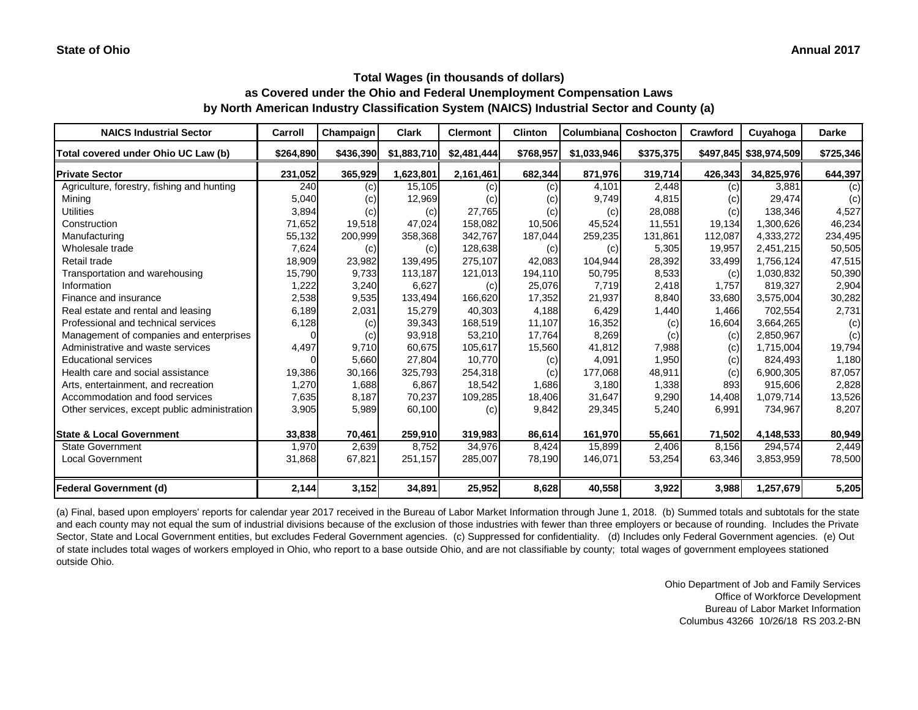| <b>NAICS Industrial Sector</b>               | Carroll   | Champaign | <b>Clark</b> | <b>Clermont</b> | <b>Clinton</b> | Columbiana  | Coshocton | <b>Crawford</b> | Cuyahoga                 | <b>Darke</b> |
|----------------------------------------------|-----------|-----------|--------------|-----------------|----------------|-------------|-----------|-----------------|--------------------------|--------------|
| Total covered under Ohio UC Law (b)          | \$264,890 | \$436,390 | \$1,883,710  | \$2,481,444     | \$768,957      | \$1,033,946 | \$375,375 |                 | \$497,845   \$38,974,509 | \$725,346    |
| <b>Private Sector</b>                        | 231,052   | 365,929   | 1,623,801    | 2,161,461       | 682,344        | 871,976     | 319,714   | 426,343         | 34,825,976               | 644,397      |
| Agriculture, forestry, fishing and hunting   | 240       | (c)       | 15,105       | (c)             | (c)            | 4,101       | 2,448     | (c)             | 3,881                    | (c)          |
| Mining                                       | 5,040     | (c)       | 12,969       | (c)             | (c)            | 9,749       | 4,815     | (c)             | 29,474                   | (c)          |
| <b>Utilities</b>                             | 3,894     | (c)       | (c)          | 27,765          | (c)            | (c)         | 28,088    | (c)             | 138,346                  | 4,527        |
| Construction                                 | 71,652    | 19,518    | 47,024       | 158,082         | 10,506         | 45,524      | 11,551    | 19,134          | 1,300,626                | 46,234       |
| Manufacturing                                | 55,132    | 200,999   | 358,368      | 342,767         | 187,044        | 259,235     | 131,861   | 112,087         | 4,333,272                | 234,495      |
| Wholesale trade                              | 7,624     | (c)       | (c)          | 128,638         | (c)            | (c)         | 5,305     | 19,957          | 2,451,215                | 50,505       |
| Retail trade                                 | 18,909    | 23,982    | 139,495      | 275,107         | 42,083         | 104,944     | 28,392    | 33,499          | 1,756,124                | 47,515       |
| Transportation and warehousing               | 15,790    | 9,733     | 113,187      | 121,013         | 194,110        | 50,795      | 8,533     | (c)             | 1,030,832                | 50,390       |
| Information                                  | 1,222     | 3,240     | 6,627        | (c)             | 25,076         | 7,719       | 2,418     | 1,757           | 819,327                  | 2,904        |
| Finance and insurance                        | 2,538     | 9,535     | 133,494      | 166,620         | 17,352         | 21,937      | 8,840     | 33,680          | 3,575,004                | 30,282       |
| Real estate and rental and leasing           | 6,189     | 2,031     | 15,279       | 40,303          | 4,188          | 6,429       | 1,440     | 1,466           | 702,554                  | 2,731        |
| Professional and technical services          | 6,128     | (c)       | 39,343       | 168,519         | 11,107         | 16,352      | (c)       | 16,604          | 3,664,265                | (c)          |
| Management of companies and enterprises      |           | (c)       | 93,918       | 53,210          | 17,764         | 8,269       | (c)       | (c)             | 2,850,967                | (c)          |
| Administrative and waste services            | 4,497     | 9,710     | 60,675       | 105,617         | 15,560         | 41,812      | 7,988     | (c)             | 1,715,004                | 19,794       |
| <b>Educational services</b>                  |           | 5,660     | 27,804       | 10,770          | (c)            | 4,091       | 1,950     | (c)             | 824,493                  | 1,180        |
| Health care and social assistance            | 19,386    | 30,166    | 325,793      | 254,318         | (c)            | 177,068     | 48,911    | (c)             | 6,900,305                | 87,057       |
| Arts, entertainment, and recreation          | 1,270     | 1,688     | 6,867        | 18,542          | 1,686          | 3,180       | 1,338     | 893             | 915,606                  | 2,828        |
| Accommodation and food services              | 7,635     | 8,187     | 70,237       | 109,285         | 18,406         | 31,647      | 9,290     | 14,408          | 1,079,714                | 13,526       |
| Other services, except public administration | 3,905     | 5,989     | 60,100       | (c)             | 9,842          | 29,345      | 5,240     | 6,991           | 734,967                  | 8,207        |
| <b>State &amp; Local Government</b>          | 33,838    | 70,461    | 259,910      | 319,983         | 86,614         | 161,970     | 55,661    | 71,502          | 4,148,533                | 80,949       |
| <b>State Government</b>                      | 1,970     | 2,639     | 8,752        | 34,976          | 8,424          | 15,899      | 2,406     | 8,156           | 294,574                  | 2,449        |
| <b>Local Government</b>                      | 31,868    | 67,821    | 251,157      | 285,007         | 78,190         | 146,071     | 53,254    | 63,346          | 3,853,959                | 78,500       |
| Federal Government (d)                       | 2,144     | 3,152     | 34,891       | 25,952          | 8,628          | 40,558      | 3,922     | 3,988           | 1,257,679                | 5,205        |

(a) Final, based upon employers' reports for calendar year 2017 received in the Bureau of Labor Market Information through June 1, 2018. (b) Summed totals and subtotals for the state and each county may not equal the sum of industrial divisions because of the exclusion of those industries with fewer than three employers or because of rounding. Includes the Private Sector, State and Local Government entities, but excludes Federal Government agencies. (c) Suppressed for confidentiality. (d) Includes only Federal Government agencies. (e) Out of state includes total wages of workers employed in Ohio, who report to a base outside Ohio, and are not classifiable by county; total wages of government employees stationed outside Ohio.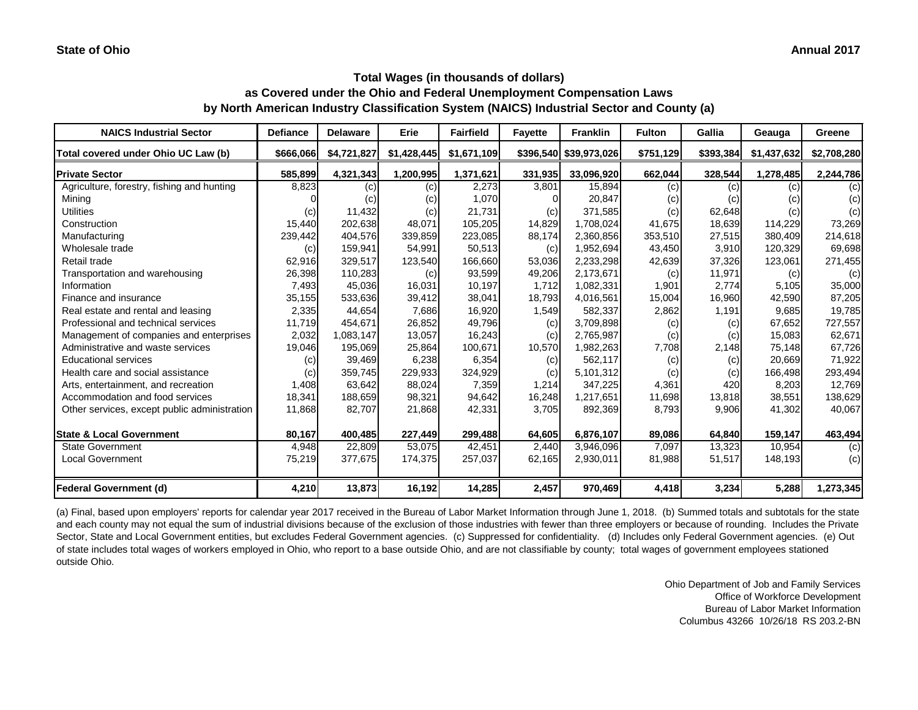| <b>NAICS Industrial Sector</b>               | <b>Defiance</b> | <b>Delaware</b> | Erie        | <b>Fairfield</b> | <b>Fayette</b>             | <b>Franklin</b>        | <b>Fulton</b> | Gallia    | Geauga      | Greene      |
|----------------------------------------------|-----------------|-----------------|-------------|------------------|----------------------------|------------------------|---------------|-----------|-------------|-------------|
| Total covered under Ohio UC Law (b)          | \$666,066       | \$4,721,827     | \$1,428,445 | \$1,671,109      |                            | \$396,540 \$39,973,026 | \$751,129     | \$393,384 | \$1,437,632 | \$2,708,280 |
| <b>Private Sector</b>                        | 585,899         | 4,321,343       | 1,200,995   | 1,371,621        | 331,935                    | 33,096,920             | 662,044       | 328,544   | 1,278,485   | 2,244,786   |
| Agriculture, forestry, fishing and hunting   | 8,823           | (c)             | (c)         | 2,273            | 3,801                      | 15,894                 | (c)           | (c)       | (c)         | (c)         |
| Mining                                       |                 | (c)             | (c)         | 1,070            |                            | 20,847                 | (c)           | (c)       | (c)         | (c)         |
| <b>Utilities</b>                             | (c)             | 11,432          | (c)         | 21,731           | $\left( \mathrm{c}\right)$ | 371,585                | (c)           | 62,648    | (c)         | (c)         |
| Construction                                 | 15,440          | 202,638         | 48,071      | 105,205          | 14,829                     | 1,708,024              | 41,675        | 18,639    | 114,229     | 73,269      |
| Manufacturing                                | 239,442         | 404,576         | 339,859     | 223,085          | 88,174                     | 2,360,856              | 353,510       | 27,515    | 380,409     | 214,618     |
| Wholesale trade                              | (c)             | 159,941         | 54,991      | 50,513           | (c)                        | 1,952,694              | 43,450        | 3,910     | 120,329     | 69,698      |
| Retail trade                                 | 62,916          | 329,517         | 123,540     | 166,660          | 53,036                     | 2,233,298              | 42,639        | 37,326    | 123,061     | 271,455     |
| Transportation and warehousing               | 26,398          | 110,283         | (c)         | 93,599           | 49,206                     | 2,173,671              | (c)           | 11,971    | (c)         | (c)         |
| Information                                  | 7,493           | 45,036          | 16,031      | 10,197           | 1,712                      | 1,082,331              | 1,901         | 2,774     | 5,105       | 35,000      |
| Finance and insurance                        | 35,155          | 533,636         | 39,412      | 38,041           | 18,793                     | 4,016,561              | 15,004        | 16,960    | 42,590      | 87,205      |
| Real estate and rental and leasing           | 2,335           | 44,654          | 7,686       | 16,920           | 1,549                      | 582,337                | 2,862         | 1,191     | 9,685       | 19,785      |
| Professional and technical services          | 11,719          | 454,671         | 26,852      | 49,796           | (c)                        | 3,709,898              | (c)           | (c)       | 67,652      | 727,557     |
| Management of companies and enterprises      | 2,032           | 1,083,147       | 13,057      | 16,243           | (c)                        | 2,765,987              | (c)           | (c)       | 15,083      | 62,671      |
| Administrative and waste services            | 19,046          | 195,069         | 25,864      | 100,671          | 10,570                     | 1,982,263              | 7,708         | 2,148     | 75,148      | 67,726      |
| <b>Educational services</b>                  | (c)             | 39,469          | 6,238       | 6,354            | (c)                        | 562,117                | (c)           | (c)       | 20,669      | 71,922      |
| Health care and social assistance            | (c)             | 359,745         | 229,933     | 324,929          | (c)                        | 5,101,312              | (c)           | (c)       | 166,498     | 293,494     |
| Arts, entertainment, and recreation          | 1,408           | 63,642          | 88,024      | 7,359            | 1,214                      | 347,225                | 4,361         | 420       | 8,203       | 12,769      |
| Accommodation and food services              | 18,341          | 188,659         | 98,321      | 94,642           | 16,248                     | 1,217,651              | 11,698        | 13,818    | 38,551      | 138,629     |
| Other services, except public administration | 11,868          | 82,707          | 21,868      | 42,331           | 3,705                      | 892,369                | 8,793         | 9,906     | 41,302      | 40,067      |
| <b>State &amp; Local Government</b>          | 80,167          | 400,485         | 227,449     | 299,488          | 64,605                     | 6,876,107              | 89,086        | 64,840    | 159,147     | 463,494     |
| <b>State Government</b>                      | 4,948           | 22,809          | 53,075      | 42,451           | 2,440                      | 3,946,096              | 7,097         | 13,323    | 10,954      | (c)         |
| <b>Local Government</b>                      | 75,219          | 377,675         | 174,375     | 257,037          | 62,165                     | 2,930,011              | 81,988        | 51,517    | 148,193     | (c)         |
| Federal Government (d)                       | 4,210           | 13,873          | 16,192      | 14,285           | 2,457                      | 970,469                | 4,418         | 3,234     | 5,288       | 1,273,345   |

(a) Final, based upon employers' reports for calendar year 2017 received in the Bureau of Labor Market Information through June 1, 2018. (b) Summed totals and subtotals for the state and each county may not equal the sum of industrial divisions because of the exclusion of those industries with fewer than three employers or because of rounding. Includes the Private Sector, State and Local Government entities, but excludes Federal Government agencies. (c) Suppressed for confidentiality. (d) Includes only Federal Government agencies. (e) Out of state includes total wages of workers employed in Ohio, who report to a base outside Ohio, and are not classifiable by county; total wages of government employees stationed outside Ohio.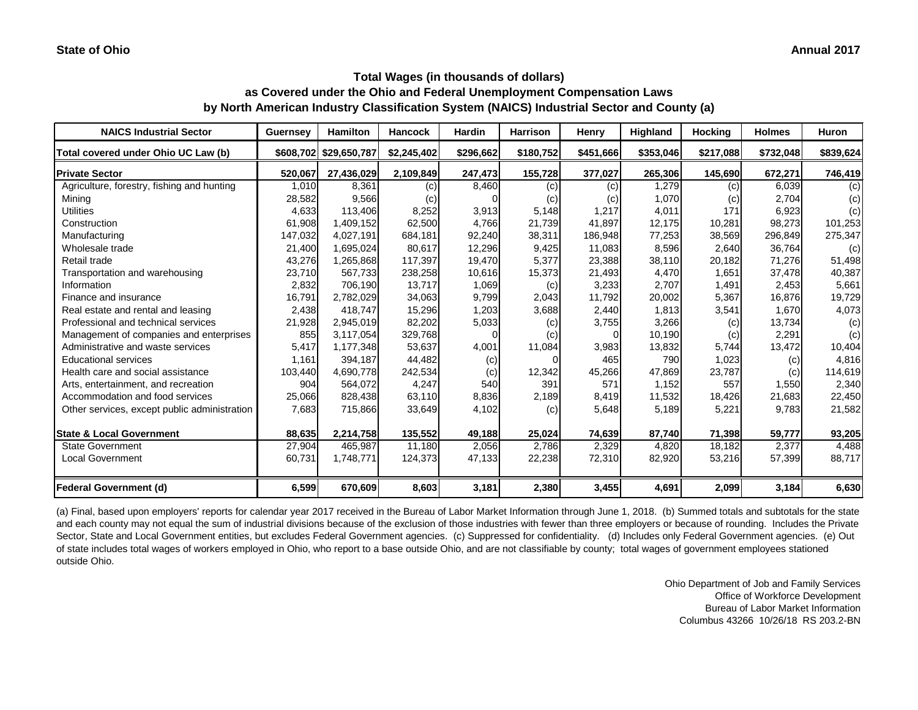| <b>NAICS Industrial Sector</b>               | <b>Guernsey</b> | Hamilton               | <b>Hancock</b> | <b>Hardin</b> | <b>Harrison</b> | Henry     | Highland  | <b>Hocking</b> | <b>Holmes</b> | <b>Huron</b> |
|----------------------------------------------|-----------------|------------------------|----------------|---------------|-----------------|-----------|-----------|----------------|---------------|--------------|
| Total covered under Ohio UC Law (b)          |                 | \$608,702 \$29,650,787 | \$2,245,402    | \$296,662     | \$180,752       | \$451,666 | \$353,046 | \$217,088      | \$732,048     | \$839,624    |
| <b>Private Sector</b>                        | 520,067         | 27,436,029             | 2,109,849      | 247,473       | 155,728         | 377,027   | 265,306   | 145,690        | 672,271       | 746,419      |
| Agriculture, forestry, fishing and hunting   | 1,010           | 8,361                  | (c)            | 8,460         | (c)             | (c)       | 1,279     | (c)            | 6,039         | (c)          |
| Mining                                       | 28,582          | 9,566                  | (c)            |               | (c)             | (c)       | 1,070     | (c)            | 2,704         | (c)          |
| <b>Utilities</b>                             | 4,633           | 113,406                | 8,252          | 3,913         | 5,148           | 1,217     | 4,011     | 171            | 6,923         | (c)          |
| Construction                                 | 61,908          | 1,409,152              | 62,500         | 4,766         | 21,739          | 41,897    | 12,175    | 10,281         | 98,273        | 101,253      |
| Manufacturing                                | 147,032         | 4,027,191              | 684,181        | 92,240        | 38,311          | 186,948   | 77,253    | 38,569         | 296,849       | 275,347      |
| Wholesale trade                              | 21,400          | 1,695,024              | 80,617         | 12,296        | 9,425           | 11,083    | 8,596     | 2,640          | 36,764        | (c)          |
| Retail trade                                 | 43,276          | 1,265,868              | 117,397        | 19,470        | 5,377           | 23,388    | 38,110    | 20,182         | 71,276        | 51,498       |
| Transportation and warehousing               | 23,710          | 567,733                | 238,258        | 10,616        | 15,373          | 21,493    | 4,470     | 1,651          | 37,478        | 40,387       |
| Information                                  | 2,832           | 706,190                | 13,717         | 1,069         | (c)             | 3,233     | 2,707     | 1,491          | 2,453         | 5,661        |
| Finance and insurance                        | 16,791          | 2,782,029              | 34,063         | 9,799         | 2,043           | 11,792    | 20,002    | 5,367          | 16,876        | 19,729       |
| Real estate and rental and leasing           | 2,438           | 418,747                | 15,296         | 1,203         | 3,688           | 2,440     | 1,813     | 3,541          | 1,670         | 4,073        |
| Professional and technical services          | 21,928          | 2,945,019              | 82,202         | 5,033         | (c)             | 3,755     | 3,266     | (c)            | 13,734        | (c)          |
| Management of companies and enterprises      | 855             | 3,117,054              | 329,768        |               | (c)             |           | 10,190    | (c)            | 2,291         | (c)          |
| Administrative and waste services            | 5,417           | 1,177,348              | 53,637         | 4,001         | 11,084          | 3,983     | 13,832    | 5,744          | 13,472        | 10,404       |
| <b>Educational services</b>                  | 1,161           | 394,187                | 44,482         | (c)           |                 | 465       | 790       | 1,023          | (c)           | 4,816        |
| Health care and social assistance            | 103,440         | 4,690,778              | 242,534        | (c)           | 12,342          | 45,266    | 47,869    | 23,787         | (c)           | 114,619      |
| Arts, entertainment, and recreation          | 904             | 564,072                | 4,247          | 540           | 391             | 571       | 1,152     | 557            | 1,550         | 2,340        |
| Accommodation and food services              | 25,066          | 828,438                | 63,110         | 8,836         | 2,189           | 8,419     | 11,532    | 18,426         | 21,683        | 22,450       |
| Other services, except public administration | 7,683           | 715,866                | 33,649         | 4,102         | (c)             | 5,648     | 5,189     | 5,221          | 9,783         | 21,582       |
| <b>State &amp; Local Government</b>          | 88,635          | 2,214,758              | 135,552        | 49,188        | 25,024          | 74,639    | 87,740    | 71,398         | 59,777        | 93,205       |
| <b>State Government</b>                      | 27,904          | 465,987                | 11,180         | 2,056         | 2,786           | 2,329     | 4,820     | 18,182         | 2,377         | 4,488        |
| <b>Local Government</b>                      | 60,731          | 1,748,771              | 124,373        | 47,133        | 22,238          | 72,310    | 82,920    | 53,216         | 57,399        | 88,717       |
| <b>Federal Government (d)</b>                | 6,599           | 670,609                | 8,603          | 3,181         | 2,380           | 3,455     | 4,691     | 2,099          | 3,184         | 6,630        |

(a) Final, based upon employers' reports for calendar year 2017 received in the Bureau of Labor Market Information through June 1, 2018. (b) Summed totals and subtotals for the state and each county may not equal the sum of industrial divisions because of the exclusion of those industries with fewer than three employers or because of rounding. Includes the Private Sector, State and Local Government entities, but excludes Federal Government agencies. (c) Suppressed for confidentiality. (d) Includes only Federal Government agencies. (e) Out of state includes total wages of workers employed in Ohio, who report to a base outside Ohio, and are not classifiable by county; total wages of government employees stationed outside Ohio.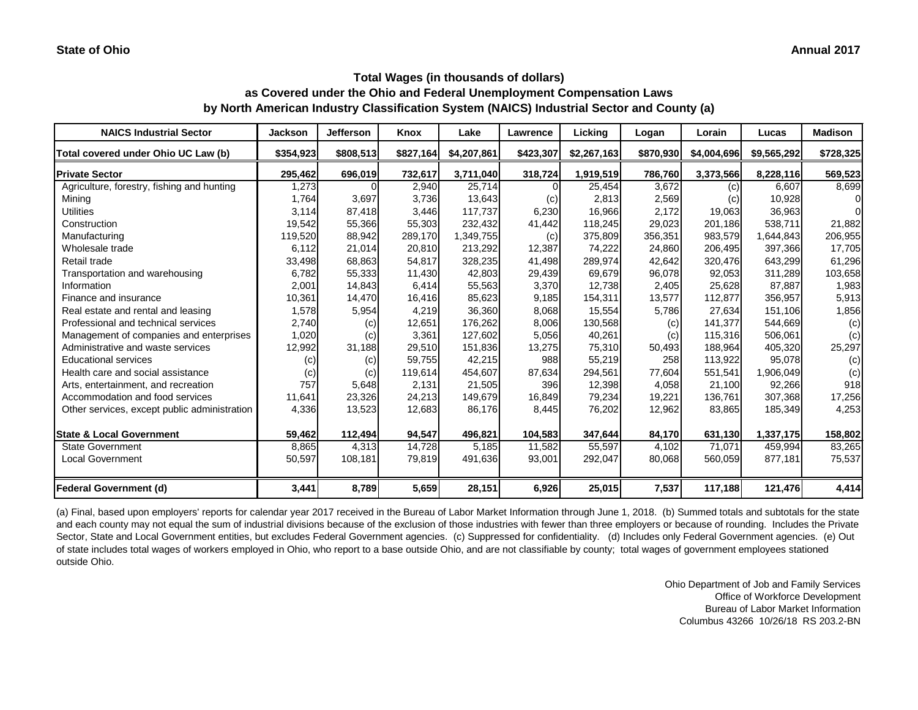| <b>NAICS Industrial Sector</b>               | <b>Jackson</b> | <b>Jefferson</b> | Knox      | Lake        | <b>Lawrence</b> | Licking     | Logan     | Lorain      | Lucas       | <b>Madison</b> |
|----------------------------------------------|----------------|------------------|-----------|-------------|-----------------|-------------|-----------|-------------|-------------|----------------|
| Total covered under Ohio UC Law (b)          | \$354,923      | \$808,513        | \$827,164 | \$4,207,861 | \$423,307       | \$2,267,163 | \$870,930 | \$4,004,696 | \$9,565,292 | \$728,325      |
| <b>Private Sector</b>                        | 295,462        | 696,019          | 732,617   | 3,711,040   | 318,724         | 1,919,519   | 786,760   | 3,373,566   | 8,228,116   | 569,523        |
| Agriculture, forestry, fishing and hunting   | 1,273          |                  | 2,940     | 25,714      | $\Omega$        | 25,454      | 3,672     | (c)         | 6,607       | 8,699          |
| Mining                                       | 1,764          | 3,697            | 3,736     | 13,643      | (c)             | 2,813       | 2,569     | (c)         | 10,928      | ΩI             |
| <b>Utilities</b>                             | 3,114          | 87,418           | 3,446     | 117,737     | 6,230           | 16,966      | 2,172     | 19,063      | 36,963      | $\Omega$       |
| Construction                                 | 19,542         | 55,366           | 55,303    | 232,432     | 41,442          | 118,245     | 29,023    | 201,186     | 538,711     | 21,882         |
| Manufacturing                                | 119,520        | 88,942           | 289,170   | 1,349,755   | (c)             | 375,809     | 356,351   | 983,579     | 1,644,843   | 206,955        |
| Wholesale trade                              | 6,112          | 21,014           | 20,810    | 213,292     | 12,387          | 74,222      | 24,860    | 206,495     | 397,366     | 17,705         |
| Retail trade                                 | 33,498         | 68,863           | 54,817    | 328,235     | 41,498          | 289,974     | 42,642    | 320,476     | 643,299     | 61,296         |
| Transportation and warehousing               | 6,782          | 55,333           | 11,430    | 42,803      | 29,439          | 69,679      | 96,078    | 92,053      | 311,289     | 103,658        |
| Information                                  | 2,001          | 14,843           | 6,414     | 55,563      | 3,370           | 12,738      | 2,405     | 25,628      | 87,887      | 1,983          |
| Finance and insurance                        | 10,361         | 14,470           | 16,416    | 85,623      | 9,185           | 154,311     | 13,577    | 112,877     | 356,957     | 5,913          |
| Real estate and rental and leasing           | 1,578          | 5,954            | 4,219     | 36,360      | 8,068           | 15,554      | 5,786     | 27,634      | 151,106     | 1,856          |
| Professional and technical services          | 2,740          | (c)              | 12,651    | 176,262     | 8,006           | 130,568     | (c)       | 141,377     | 544,669     | (c)            |
| Management of companies and enterprises      | 1,020          | (c)              | 3,361     | 127,602     | 5,056           | 40,261      | (c)       | 115,316     | 506,061     | (c)            |
| Administrative and waste services            | 12,992         | 31,188           | 29,510    | 151,836     | 13,275          | 75,310      | 50,493    | 188,964     | 405,320     | 25,297         |
| <b>Educational services</b>                  | (c)            | (c)              | 59,755    | 42,215      | 988             | 55,219      | 258       | 113,922     | 95,078      | (c)            |
| Health care and social assistance            | (c)            | (c)              | 119,614   | 454,607     | 87,634          | 294,561     | 77,604    | 551,541     | 1,906,049   | (c)            |
| Arts, entertainment, and recreation          | 757            | 5,648            | 2,131     | 21,505      | 396             | 12,398      | 4,058     | 21,100      | 92,266      | 918            |
| Accommodation and food services              | 11,641         | 23,326           | 24,213    | 149,679     | 16,849          | 79,234      | 19,221    | 136,761     | 307,368     | 17,256         |
| Other services, except public administration | 4,336          | 13,523           | 12,683    | 86,176      | 8,445           | 76,202      | 12,962    | 83,865      | 185,349     | 4,253          |
| <b>State &amp; Local Government</b>          | 59,462         | 112,494          | 94,547    | 496,821     | 104,583         | 347,644     | 84,170    | 631,130     | 1,337,175   | 158,802        |
| <b>State Government</b>                      | 8,865          | 4,313            | 14,728    | 5,185       | 11,582          | 55,597      | 4,102     | 71,071      | 459,994     | 83,265         |
| <b>Local Government</b>                      | 50,597         | 108,181          | 79,819    | 491,636     | 93,001          | 292,047     | 80,068    | 560,059     | 877,181     | 75,537         |
| <b>Federal Government (d)</b>                | 3,441          | 8,789            | 5,659     | 28,151      | 6,926           | 25,015      | 7,537     | 117,188     | 121,476     | 4,414          |

(a) Final, based upon employers' reports for calendar year 2017 received in the Bureau of Labor Market Information through June 1, 2018. (b) Summed totals and subtotals for the state and each county may not equal the sum of industrial divisions because of the exclusion of those industries with fewer than three employers or because of rounding. Includes the Private Sector, State and Local Government entities, but excludes Federal Government agencies. (c) Suppressed for confidentiality. (d) Includes only Federal Government agencies. (e) Out of state includes total wages of workers employed in Ohio, who report to a base outside Ohio, and are not classifiable by county; total wages of government employees stationed outside Ohio.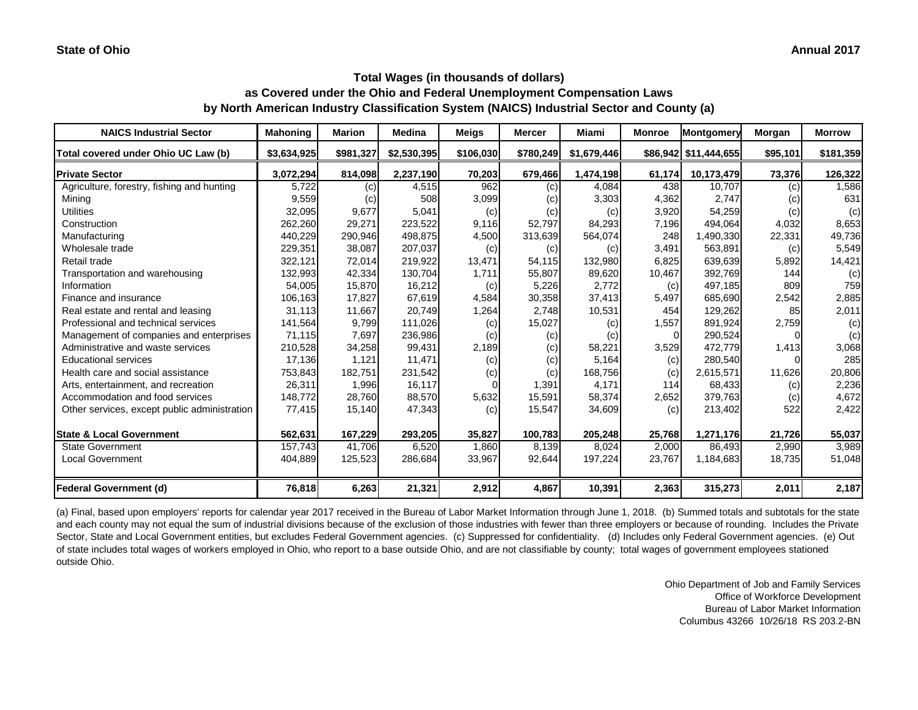| <b>NAICS Industrial Sector</b>               | <b>Mahoning</b> | <b>Marion</b> | <b>Medina</b> | <b>Meigs</b> | <b>Mercer</b> | Miami       | <b>Monroe</b> | Montgomery              | <b>Morgan</b> | <b>Morrow</b> |
|----------------------------------------------|-----------------|---------------|---------------|--------------|---------------|-------------|---------------|-------------------------|---------------|---------------|
| Total covered under Ohio UC Law (b)          | \$3,634,925     | \$981,327     | \$2,530,395   | \$106,030    | \$780,249     | \$1,679,446 |               | \$86,942   \$11,444,655 | \$95,101      | \$181,359     |
| <b>Private Sector</b>                        | 3,072,294       | 814,098       | 2,237,190     | 70,203       | 679,466       | 1,474,198   | 61,174        | 10,173,479              | 73,376        | 126,322       |
| Agriculture, forestry, fishing and hunting   | 5,722           | (c)           | 4,515         | 962          | (c)           | 4,084       | 438           | 10,707                  | (c)           | 1,586         |
| Mining                                       | 9,559           | (c)           | 508           | 3,099        | (c)           | 3,303       | 4,362         | 2,747                   | (c)           | 631           |
| <b>Utilities</b>                             | 32,095          | 9,677         | 5,041         | (c)          | (c)           | (c)         | 3,920         | 54,259                  | (c)           | (c)           |
| Construction                                 | 262,260         | 29,271        | 223,522       | 9,116        | 52,797        | 84,293      | 7,196         | 494,064                 | 4,032         | 8,653         |
| Manufacturing                                | 440,229         | 290,946       | 498,875       | 4,500        | 313,639       | 564,074     | 248           | 1,490,330               | 22,331        | 49,736        |
| Wholesale trade                              | 229,351         | 38,087        | 207,037       | (c)          | (c)           | (c)         | 3,491         | 563,891                 | (c)           | 5,549         |
| Retail trade                                 | 322,121         | 72,014        | 219,922       | 13,471       | 54,115        | 132,980     | 6,825         | 639,639                 | 5,892         | 14,421        |
| Transportation and warehousing               | 132,993         | 42,334        | 130,704       | 1,711        | 55,807        | 89,620      | 10,467        | 392,769                 | 144           | (c)           |
| Information                                  | 54,005          | 15,870        | 16,212        | (c)          | 5,226         | 2,772       | (c)           | 497,185                 | 809           | 759           |
| Finance and insurance                        | 106,163         | 17,827        | 67,619        | 4,584        | 30,358        | 37,413      | 5,497         | 685,690                 | 2,542         | 2,885         |
| Real estate and rental and leasing           | 31,113          | 11,667        | 20,749        | 1,264        | 2,748         | 10,531      | 454           | 129,262                 | 85            | 2,011         |
| Professional and technical services          | 141,564         | 9,799         | 111,026       | (c)          | 15,027        | (c)         | 1,557         | 891,924                 | 2,759         | (c)           |
| Management of companies and enterprises      | 71,115          | 7,697         | 236,986       | (c)          | (c)           | (c)         | 0             | 290,524                 |               | (c)           |
| Administrative and waste services            | 210,528         | 34,258        | 99,431        | 2,189        | (c)           | 58,221      | 3,529         | 472,779                 | 1,413         | 3,068         |
| <b>Educational services</b>                  | 17,136          | 1,121         | 11,471        | (c)          | (c)           | 5,164       | (c)           | 280,540                 | n             | 285           |
| Health care and social assistance            | 753,843         | 182,751       | 231,542       | (c)          | (c)           | 168,756     | (c)           | 2,615,571               | 11,626        | 20,806        |
| Arts, entertainment, and recreation          | 26,311          | 1,996         | 16,117        |              | 1,391         | 4,171       | 114           | 68,433                  | (c)           | 2,236         |
| Accommodation and food services              | 148,772         | 28,760        | 88,570        | 5,632        | 15,591        | 58,374      | 2,652         | 379,763                 | (c)           | 4,672         |
| Other services, except public administration | 77,415          | 15,140        | 47,343        | (c)          | 15,547        | 34,609      | (c)           | 213,402                 | 522           | 2,422         |
| <b>State &amp; Local Government</b>          | 562,631         | 167,229       | 293,205       | 35,827       | 100,783       | 205,248     | 25,768        | 1,271,176               | 21,726        | 55,037        |
| <b>State Government</b>                      | 157,743         | 41,706        | 6,520         | 1,860        | 8,139         | 8,024       | 2,000         | 86,493                  | 2,990         | 3,989         |
| <b>Local Government</b>                      | 404,889         | 125,523       | 286,684       | 33,967       | 92,644        | 197,224     | 23,767        | 1,184,683               | 18,735        | 51,048        |
| Federal Government (d)                       | 76,818          | 6,263         | 21,321        | 2,912        | 4,867         | 10,391      | 2,363         | 315,273                 | 2,011         | 2,187         |

(a) Final, based upon employers' reports for calendar year 2017 received in the Bureau of Labor Market Information through June 1, 2018. (b) Summed totals and subtotals for the state and each county may not equal the sum of industrial divisions because of the exclusion of those industries with fewer than three employers or because of rounding. Includes the Private Sector, State and Local Government entities, but excludes Federal Government agencies. (c) Suppressed for confidentiality. (d) Includes only Federal Government agencies. (e) Out of state includes total wages of workers employed in Ohio, who report to a base outside Ohio, and are not classifiable by county; total wages of government employees stationed outside Ohio.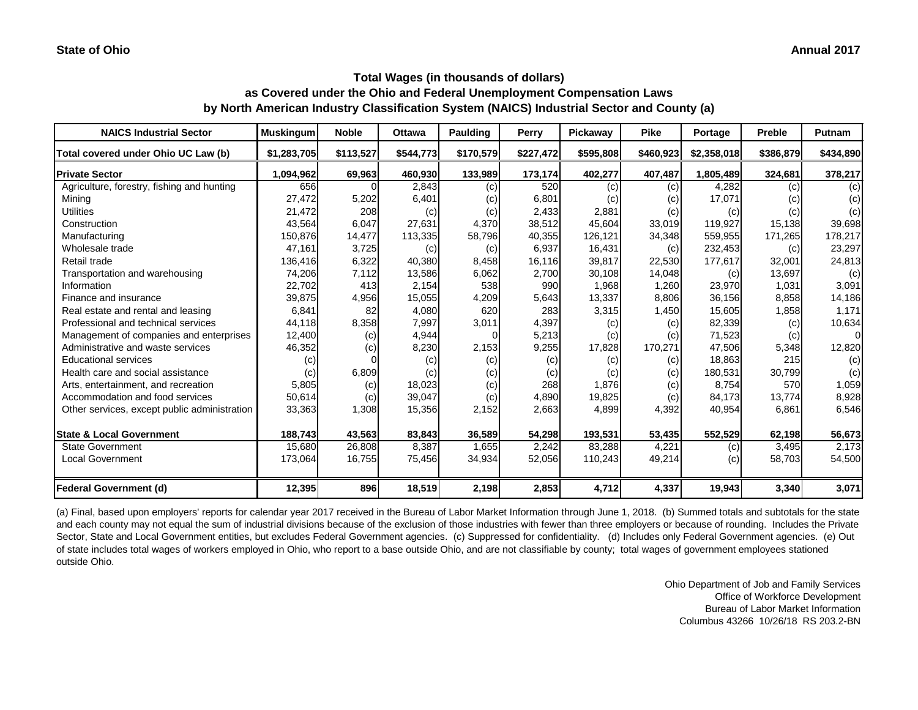| <b>NAICS Industrial Sector</b>               | <b>Muskingum</b> | <b>Noble</b> | <b>Ottawa</b> | <b>Paulding</b> | <b>Perry</b> | Pickaway  | <b>Pike</b> | Portage     | Preble    | <b>Putnam</b>  |
|----------------------------------------------|------------------|--------------|---------------|-----------------|--------------|-----------|-------------|-------------|-----------|----------------|
| Total covered under Ohio UC Law (b)          | \$1,283,705      | \$113,527    | \$544,773     | \$170,579       | \$227,472    | \$595,808 | \$460,923   | \$2,358,018 | \$386,879 | \$434,890      |
| <b>Private Sector</b>                        | 1,094,962        | 69,963       | 460,930       | 133,989         | 173,174      | 402,277   | 407,487     | 1,805,489   | 324,681   | 378,217        |
| Agriculture, forestry, fishing and hunting   | 656              |              | 2,843         | (c)             | 520          | (c)       | (c)         | 4,282       | (c)       | (c)            |
| Mining                                       | 27,472           | 5,202        | 6,401         | (c)             | 6,801        | (c)       | (c)         | 17,071      | (c)       | (c)            |
| <b>Utilities</b>                             | 21,472           | 208          | (c)           | (c)             | 2,433        | 2,881     | (c)         | (c)         | (c)       | (c)            |
| Construction                                 | 43,564           | 6,047        | 27,631        | 4,370           | 38,512       | 45,604    | 33,019      | 119,927     | 15,138    | 39,698         |
| Manufacturing                                | 150,876          | 14,477       | 113,335       | 58,796          | 40,355       | 126,121   | 34,348      | 559,955     | 171,265   | 178,217        |
| Wholesale trade                              | 47,161           | 3,725        | (c)           | (c)             | 6,937        | 16,431    | (c)         | 232,453     | (c)       | 23,297         |
| Retail trade                                 | 136,416          | 6,322        | 40,380        | 8,458           | 16,116       | 39,817    | 22,530      | 177,617     | 32,001    | 24,813         |
| Transportation and warehousing               | 74,206           | 7,112        | 13,586        | 6,062           | 2,700        | 30,108    | 14,048      | (c)         | 13,697    | (c)            |
| Information                                  | 22,702           | 413          | 2,154         | 538             | 990          | 1,968     | 1,260       | 23,970      | 1,031     | 3,091          |
| Finance and insurance                        | 39,875           | 4,956        | 15,055        | 4,209           | 5,643        | 13,337    | 8,806       | 36,156      | 8,858     | 14,186         |
| Real estate and rental and leasing           | 6,841            | 82           | 4,080         | 620             | 283          | 3,315     | 1,450       | 15,605      | 1,858     | 1,171          |
| Professional and technical services          | 44,118           | 8,358        | 7,997         | 3,011           | 4,397        | (c)       | (c)         | 82,339      | (c)       | 10,634         |
| Management of companies and enterprises      | 12,400           | (c)          | 4,944         |                 | 5,213        | (c)       | (c)         | 71,523      | (c)       | $\overline{0}$ |
| Administrative and waste services            | 46,352           | (c)          | 8,230         | 2,153           | 9,255        | 17,828    | 170,271     | 47,506      | 5,348     | 12,820         |
| <b>Educational services</b>                  | (c)              |              | (c)           | (c)             | (c)          | (c)       | (c)         | 18,863      | 215       | (c)            |
| Health care and social assistance            | (c)              | 6,809        | (c)           | (c)             | (c)          | (c)       | (c)         | 180,531     | 30,799    | (c)            |
| Arts, entertainment, and recreation          | 5,805            | (c)          | 18,023        | (c)             | 268          | 1,876     | (c)         | 8,754       | 570       | 1,059          |
| Accommodation and food services              | 50,614           | (c)          | 39,047        | (c)             | 4,890        | 19,825    | (c)         | 84,173      | 13,774    | 8,928          |
| Other services, except public administration | 33,363           | 1,308        | 15,356        | 2,152           | 2,663        | 4,899     | 4,392       | 40,954      | 6,861     | 6,546          |
| <b>State &amp; Local Government</b>          | 188,743          | 43,563       | 83,843        | 36,589          | 54,298       | 193,531   | 53,435      | 552,529     | 62,198    | 56,673         |
| <b>State Government</b>                      | 15,680           | 26,808       | 8,387         | 1,655           | 2,242        | 83,288    | 4,221       | (c)         | 3,495     | 2,173          |
| <b>Local Government</b>                      | 173,064          | 16,755       | 75,456        | 34,934          | 52,056       | 110,243   | 49,214      | (c)         | 58,703    | 54,500         |
| Federal Government (d)                       | 12,395           | 896          | 18,519        | 2,198           | 2,853        | 4,712     | 4,337       | 19,943      | 3,340     | 3,071          |

(a) Final, based upon employers' reports for calendar year 2017 received in the Bureau of Labor Market Information through June 1, 2018. (b) Summed totals and subtotals for the state and each county may not equal the sum of industrial divisions because of the exclusion of those industries with fewer than three employers or because of rounding. Includes the Private Sector, State and Local Government entities, but excludes Federal Government agencies. (c) Suppressed for confidentiality. (d) Includes only Federal Government agencies. (e) Out of state includes total wages of workers employed in Ohio, who report to a base outside Ohio, and are not classifiable by county; total wages of government employees stationed outside Ohio.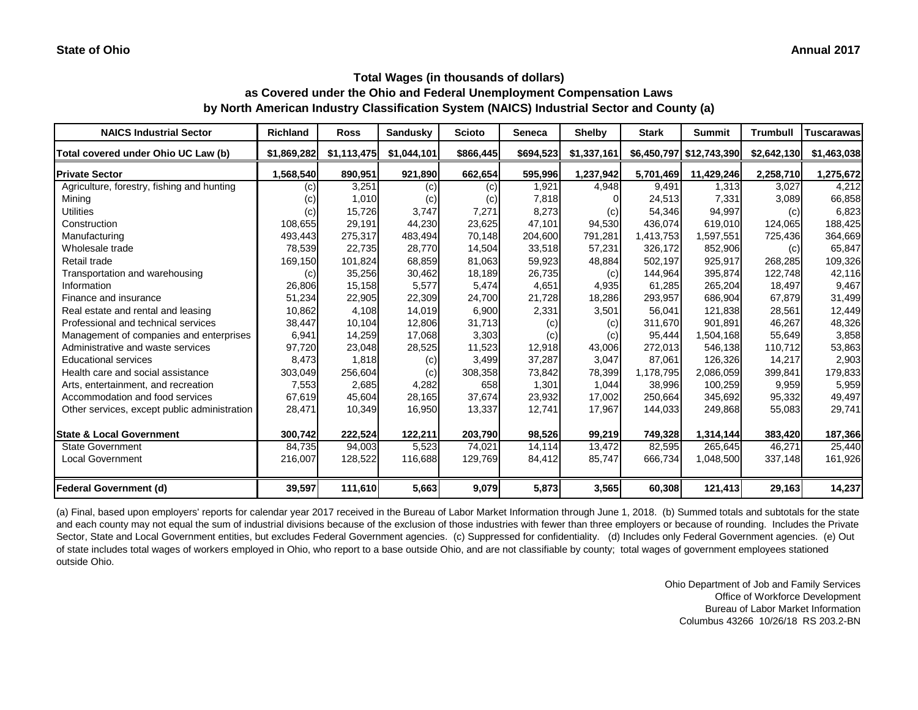| <b>NAICS Industrial Sector</b>               | <b>Richland</b> | <b>Ross</b> | <b>Sandusky</b> | <b>Scioto</b> | <b>Seneca</b> | <b>Shelby</b> | <b>Stark</b> | <b>Summit</b>            | <b>Trumbull</b> | <b>Tuscarawas</b> |
|----------------------------------------------|-----------------|-------------|-----------------|---------------|---------------|---------------|--------------|--------------------------|-----------------|-------------------|
| Total covered under Ohio UC Law (b)          | \$1,869,282     | \$1,113,475 | \$1,044,101     | \$866,445     | \$694,523     | \$1,337,161   |              | \$6,450,797 \$12,743,390 | \$2,642,130     | \$1,463,038       |
| <b>Private Sector</b>                        | 1,568,540       | 890,951     | 921,890         | 662,654       | 595,996       | 1,237,942     | 5,701,469    | 11,429,246               | 2,258,710       | 1,275,672         |
| Agriculture, forestry, fishing and hunting   | (c)             | 3,251       | (c)             | (c)           | 1,921         | 4,948         | 9,491        | 1,313                    | 3,027           | 4,212             |
| Mining                                       | (c)             | 1,010       | (c)             | (c)           | 7,818         |               | 24,513       | 7,331                    | 3,089           | 66,858            |
| <b>Utilities</b>                             | (c)             | 15,726      | 3,747           | 7,271         | 8,273         | (c)           | 54,346       | 94,997                   | (c)             | 6,823             |
| Construction                                 | 108,655         | 29,191      | 44,230          | 23,625        | 47,101        | 94,530        | 436,074      | 619,010                  | 124,065         | 188,425           |
| Manufacturing                                | 493,443         | 275,317     | 483,494         | 70,148        | 204,600       | 791,281       | 1,413,753    | 1,597,551                | 725,436         | 364,669           |
| Wholesale trade                              | 78,539          | 22,735      | 28,770          | 14,504        | 33,518        | 57,231        | 326,172      | 852,906                  | (c)             | 65,847            |
| Retail trade                                 | 169,150         | 101,824     | 68,859          | 81,063        | 59,923        | 48,884        | 502,197      | 925,917                  | 268,285         | 109,326           |
| Transportation and warehousing               | (c)             | 35,256      | 30,462          | 18,189        | 26,735        | (c)           | 144,964      | 395,874                  | 122,748         | 42,116            |
| Information                                  | 26,806          | 15,158      | 5,577           | 5,474         | 4,651         | 4,935         | 61,285       | 265,204                  | 18,497          | 9,467             |
| Finance and insurance                        | 51,234          | 22,905      | 22,309          | 24,700        | 21,728        | 18,286        | 293,957      | 686,904                  | 67,879          | 31,499            |
| Real estate and rental and leasing           | 10,862          | 4,108       | 14,019          | 6,900         | 2,331         | 3,501         | 56,041       | 121,838                  | 28,561          | 12,449            |
| Professional and technical services          | 38,447          | 10,104      | 12,806          | 31,713        | (c)           | (c)           | 311,670      | 901,891                  | 46,267          | 48,326            |
| Management of companies and enterprises      | 6,941           | 14,259      | 17,068          | 3,303         | (c)           | (c)           | 95,444       | 1,504,168                | 55,649          | 3,858             |
| Administrative and waste services            | 97,720          | 23,048      | 28,525          | 11,523        | 12,918        | 43,006        | 272,013      | 546,138                  | 110,712         | 53,863            |
| <b>Educational services</b>                  | 8,473           | 1,818       | (c)             | 3,499         | 37,287        | 3,047         | 87,061       | 126,326                  | 14,217          | 2,903             |
| Health care and social assistance            | 303,049         | 256,604     | (c)             | 308,358       | 73,842        | 78,399        | 1,178,795    | 2,086,059                | 399,841         | 179,833           |
| Arts, entertainment, and recreation          | 7,553           | 2,685       | 4,282           | 658           | 1,301         | 1,044         | 38,996       | 100,259                  | 9,959           | 5,959             |
| Accommodation and food services              | 67,619          | 45,604      | 28,165          | 37,674        | 23,932        | 17,002        | 250,664      | 345,692                  | 95,332          | 49,497            |
| Other services, except public administration | 28,471          | 10,349      | 16,950          | 13,337        | 12,741        | 17,967        | 144,033      | 249,868                  | 55,083          | 29,741            |
| <b>State &amp; Local Government</b>          | 300,742         | 222,524     | 122,211         | 203,790       | 98,526        | 99,219        | 749,328      | 1,314,144                | 383,420         | 187,366           |
| <b>State Government</b>                      | 84,735          | 94,003      | 5,523           | 74,021        | 14,114        | 13,472        | 82,595       | 265,645                  | 46,271          | 25,440            |
| <b>Local Government</b>                      | 216,007         | 128,522     | 116,688         | 129,769       | 84,412        | 85,747        | 666,734      | 1,048,500                | 337,148         | 161,926           |
| <b>Federal Government (d)</b>                | 39,597          | 111,610     | 5,663           | 9,079         | 5,873         | 3,565         | 60,308       | 121,413                  | 29,163          | 14,237            |

(a) Final, based upon employers' reports for calendar year 2017 received in the Bureau of Labor Market Information through June 1, 2018. (b) Summed totals and subtotals for the state and each county may not equal the sum of industrial divisions because of the exclusion of those industries with fewer than three employers or because of rounding. Includes the Private Sector, State and Local Government entities, but excludes Federal Government agencies. (c) Suppressed for confidentiality. (d) Includes only Federal Government agencies. (e) Out of state includes total wages of workers employed in Ohio, who report to a base outside Ohio, and are not classifiable by county; total wages of government employees stationed outside Ohio.